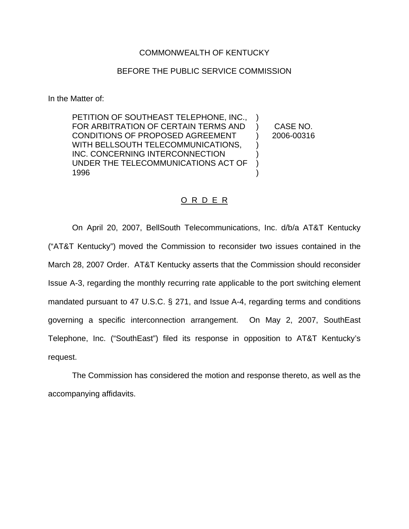## COMMONWEALTH OF KENTUCKY

## BEFORE THE PUBLIC SERVICE COMMISSION

In the Matter of:

PETITION OF SOUTHEAST TELEPHONE, INC., FOR ARBITRATION OF CERTAIN TERMS AND CONDITIONS OF PROPOSED AGREEMENT WITH BELLSOUTH TELECOMMUNICATIONS, INC. CONCERNING INTERCONNECTION UNDER THE TELECOMMUNICATIONS ACT OF 1996 ) ) ) ) )

) CASE NO. ) 2006-00316

#### O R D E R

On April 20, 2007, BellSouth Telecommunications, Inc. d/b/a AT&T Kentucky ("AT&T Kentucky") moved the Commission to reconsider two issues contained in the March 28, 2007 Order. AT&T Kentucky asserts that the Commission should reconsider Issue A-3, regarding the monthly recurring rate applicable to the port switching element mandated pursuant to 47 U.S.C. § 271, and Issue A-4, regarding terms and conditions governing a specific interconnection arrangement. On May 2, 2007, SouthEast Telephone, Inc. ("SouthEast") filed its response in opposition to AT&T Kentucky's request.

The Commission has considered the motion and response thereto, as well as the accompanying affidavits.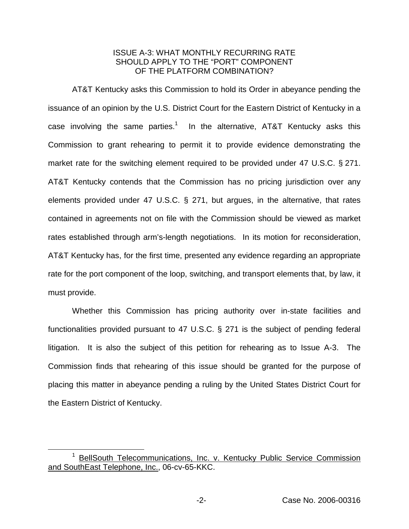# ISSUE A-3: WHAT MONTHLY RECURRING RATE SHOULD APPLY TO THE "PORT" COMPONENT OF THE PLATFORM COMBINATION?

AT&T Kentucky asks this Commission to hold its Order in abeyance pending the issuance of an opinion by the U.S. District Court for the Eastern District of Kentucky in a case involving the same parties.<sup>1</sup> In the alternative, AT&T Kentucky asks this Commission to grant rehearing to permit it to provide evidence demonstrating the market rate for the switching element required to be provided under 47 U.S.C. § 271. AT&T Kentucky contends that the Commission has no pricing jurisdiction over any elements provided under 47 U.S.C. § 271, but argues, in the alternative, that rates contained in agreements not on file with the Commission should be viewed as market rates established through arm's-length negotiations. In its motion for reconsideration, AT&T Kentucky has, for the first time, presented any evidence regarding an appropriate rate for the port component of the loop, switching, and transport elements that, by law, it must provide.

Whether this Commission has pricing authority over in-state facilities and functionalities provided pursuant to 47 U.S.C. § 271 is the subject of pending federal litigation. It is also the subject of this petition for rehearing as to Issue A-3. The Commission finds that rehearing of this issue should be granted for the purpose of placing this matter in abeyance pending a ruling by the United States District Court for the Eastern District of Kentucky.

<sup>&</sup>lt;sup>1</sup> BellSouth Telecommunications, Inc. v. Kentucky Public Service Commission and SouthEast Telephone, Inc., 06-cv-65-KKC.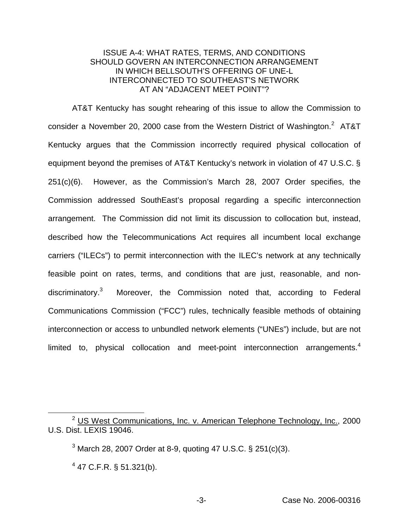# ISSUE A-4: WHAT RATES, TERMS, AND CONDITIONS SHOULD GOVERN AN INTERCONNECTION ARRANGEMENT IN WHICH BELLSOUTH'S OFFERING OF UNE-L INTERCONNECTED TO SOUTHEAST'S NETWORK AT AN "ADJACENT MEET POINT"?

AT&T Kentucky has sought rehearing of this issue to allow the Commission to consider a November 20, 2000 case from the Western District of Washington.<sup>2</sup> AT&T Kentucky argues that the Commission incorrectly required physical collocation of equipment beyond the premises of AT&T Kentucky's network in violation of 47 U.S.C. § 251(c)(6). However, as the Commission's March 28, 2007 Order specifies, the Commission addressed SouthEast's proposal regarding a specific interconnection arrangement. The Commission did not limit its discussion to collocation but, instead, described how the Telecommunications Act requires all incumbent local exchange carriers ("ILECs") to permit interconnection with the ILEC's network at any technically feasible point on rates, terms, and conditions that are just, reasonable, and nondiscriminatory.<sup>3</sup> Moreover, the Commission noted that, according to Federal Communications Commission ("FCC") rules, technically feasible methods of obtaining interconnection or access to unbundled network elements ("UNEs") include, but are not limited to, physical collocation and meet-point interconnection arrangements.<sup>4</sup>

<sup>&</sup>lt;sup>2</sup> US West Communications, Inc. v. American Telephone Technology, Inc., 2000 U.S. Dist. LEXIS 19046.

 $3$  March 28, 2007 Order at 8-9, quoting 47 U.S.C. § 251(c)(3).

 $4$  47 C.F.R. § 51.321(b).